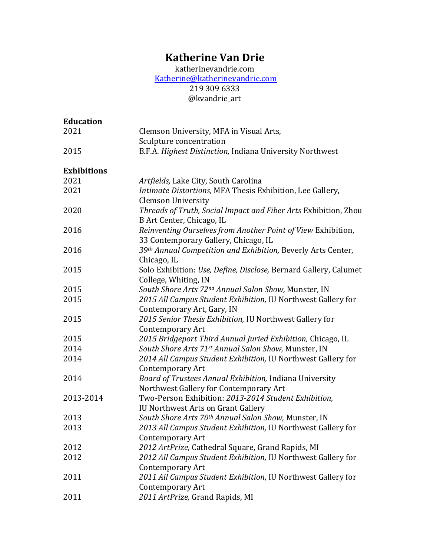# **Katherine Van Drie**

katherinevandrie.com [Katherine@katherinevandrie.com](mailto:Katherine@katherinevandrie.com) 219 309 6333 @kvandrie\_art

| <b>Education</b>   |                                                                                                      |
|--------------------|------------------------------------------------------------------------------------------------------|
| 2021               | Clemson University, MFA in Visual Arts,                                                              |
|                    | Sculpture concentration                                                                              |
| 2015               | B.F.A. Highest Distinction, Indiana University Northwest                                             |
| <b>Exhibitions</b> |                                                                                                      |
| 2021               | Artfields, Lake City, South Carolina                                                                 |
| 2021               | Intimate Distortions, MFA Thesis Exhibition, Lee Gallery,<br><b>Clemson University</b>               |
| 2020               | Threads of Truth, Social Impact and Fiber Arts Exhibition, Zhou<br>B Art Center, Chicago, IL         |
| 2016               | Reinventing Ourselves from Another Point of View Exhibition,<br>33 Contemporary Gallery, Chicago, IL |
| 2016               | 39th Annual Competition and Exhibition, Beverly Arts Center,<br>Chicago, IL                          |
| 2015               | Solo Exhibition: Use, Define, Disclose, Bernard Gallery, Calumet<br>College, Whiting, IN             |
| 2015               | South Shore Arts 72 <sup>nd</sup> Annual Salon Show, Munster, IN                                     |
| 2015               | 2015 All Campus Student Exhibition, IU Northwest Gallery for<br>Contemporary Art, Gary, IN           |
| 2015               | 2015 Senior Thesis Exhibition, IU Northwest Gallery for                                              |
|                    | <b>Contemporary Art</b>                                                                              |
| 2015               | 2015 Bridgeport Third Annual Juried Exhibition, Chicago, IL                                          |
| 2014               | South Shore Arts 71st Annual Salon Show, Munster, IN                                                 |
| 2014               | 2014 All Campus Student Exhibition, IU Northwest Gallery for<br><b>Contemporary Art</b>              |
| 2014               | Board of Trustees Annual Exhibition, Indiana University<br>Northwest Gallery for Contemporary Art    |
| 2013-2014          | Two-Person Exhibition: 2013-2014 Student Exhibition,<br>IU Northwest Arts on Grant Gallery           |
| 2013               | South Shore Arts 70th Annual Salon Show, Munster, IN                                                 |
| 2013               | 2013 All Campus Student Exhibition, IU Northwest Gallery for<br>Contemporary Art                     |
| 2012               | 2012 ArtPrize, Cathedral Square, Grand Rapids, MI                                                    |
| 2012               | 2012 All Campus Student Exhibition, IU Northwest Gallery for                                         |
|                    | <b>Contemporary Art</b>                                                                              |
| 2011               | 2011 All Campus Student Exhibition, IU Northwest Gallery for<br>Contemporary Art                     |
| 2011               | 2011 ArtPrize, Grand Rapids, MI                                                                      |